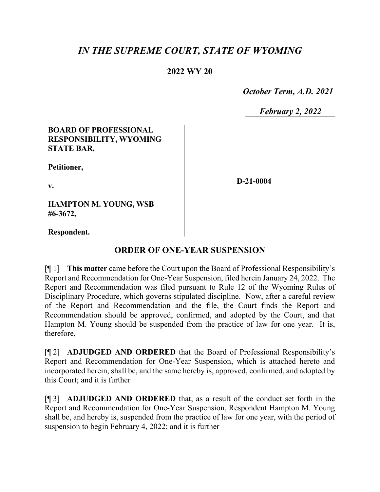# *IN THE SUPREME COURT, STATE OF WYOMING*

## **2022 WY 20**

 *October Term, A.D. 2021*

*February 2, 2022*

### **BOARD OF PROFESSIONAL RESPONSIBILITY, WYOMING STATE BAR,**

**Petitioner,**

**v.**

**D-21-0004**

**HAMPTON M. YOUNG, WSB #6-3672,**

**Respondent.**

## **ORDER OF ONE-YEAR SUSPENSION**

[¶ 1] **This matter** came before the Court upon the Board of Professional Responsibility's Report and Recommendation for One-Year Suspension, filed herein January 24, 2022. The Report and Recommendation was filed pursuant to Rule 12 of the Wyoming Rules of Disciplinary Procedure, which governs stipulated discipline. Now, after a careful review of the Report and Recommendation and the file, the Court finds the Report and Recommendation should be approved, confirmed, and adopted by the Court, and that Hampton M. Young should be suspended from the practice of law for one year. It is, therefore,

[¶ 2] **ADJUDGED AND ORDERED** that the Board of Professional Responsibility's Report and Recommendation for One-Year Suspension, which is attached hereto and incorporated herein, shall be, and the same hereby is, approved, confirmed, and adopted by this Court; and it is further

[¶ 3] **ADJUDGED AND ORDERED** that, as a result of the conduct set forth in the Report and Recommendation for One-Year Suspension, Respondent Hampton M. Young shall be, and hereby is, suspended from the practice of law for one year, with the period of suspension to begin February 4, 2022; and it is further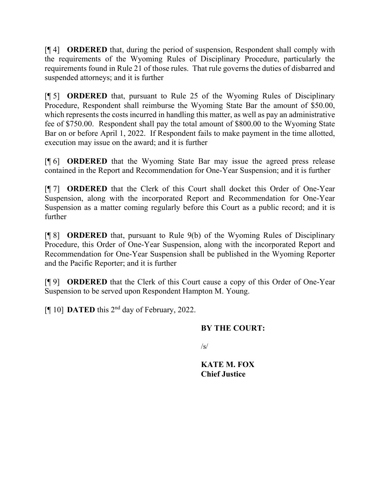[¶ 4] **ORDERED** that, during the period of suspension, Respondent shall comply with the requirements of the Wyoming Rules of Disciplinary Procedure, particularly the requirements found in Rule 21 of those rules. That rule governs the duties of disbarred and suspended attorneys; and it is further

[¶ 5] **ORDERED** that, pursuant to Rule 25 of the Wyoming Rules of Disciplinary Procedure, Respondent shall reimburse the Wyoming State Bar the amount of \$50.00, which represents the costs incurred in handling this matter, as well as pay an administrative fee of \$750.00. Respondent shall pay the total amount of \$800.00 to the Wyoming State Bar on or before April 1, 2022. If Respondent fails to make payment in the time allotted, execution may issue on the award; and it is further

[¶ 6] **ORDERED** that the Wyoming State Bar may issue the agreed press release contained in the Report and Recommendation for One-Year Suspension; and it is further

[¶ 7] **ORDERED** that the Clerk of this Court shall docket this Order of One-Year Suspension, along with the incorporated Report and Recommendation for One-Year Suspension as a matter coming regularly before this Court as a public record; and it is further

[¶ 8] **ORDERED** that, pursuant to Rule 9(b) of the Wyoming Rules of Disciplinary Procedure, this Order of One-Year Suspension, along with the incorporated Report and Recommendation for One-Year Suspension shall be published in the Wyoming Reporter and the Pacific Reporter; and it is further

[¶ 9] **ORDERED** that the Clerk of this Court cause a copy of this Order of One-Year Suspension to be served upon Respondent Hampton M. Young.

[¶ 10] **DATED** this 2nd day of February, 2022.

### **BY THE COURT:**

 $\sqrt{s}$ 

**KATE M. FOX Chief Justice**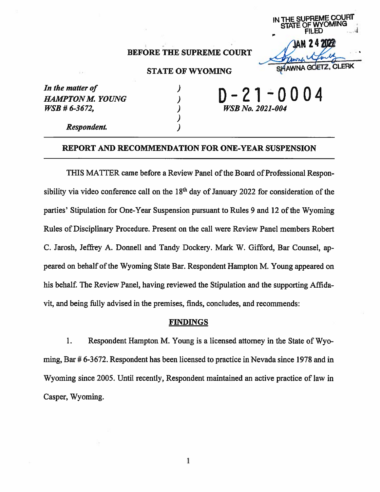

## **BEFORE THE SUPREME COURT**

### **STATE OF WYOMING**

| In the matter of  |  |
|-------------------|--|
| HAMPTON M. YOUNG  |  |
| $WSB \# 6-3672$ , |  |

丿  $\lambda$  $\lambda$ 

WSB No. 2021-004

Respondent.

#### REPORT AND RECOMMENDATION FOR ONE-YEAR SUSPENSION

THIS MATTER came before a Review Panel of the Board of Professional Responsibility via video conference call on the 18<sup>th</sup> day of January 2022 for consideration of the parties' Stipulation for One-Year Suspension pursuant to Rules 9 and 12 of the Wyoming Rules of Disciplinary Procedure. Present on the call were Review Panel members Robert C. Jarosh, Jeffrey A. Donnell and Tandy Dockery. Mark W. Gifford, Bar Counsel, appeared on behalf of the Wyoming State Bar. Respondent Hampton M. Young appeared on his behalf. The Review Panel, having reviewed the Stipulation and the supporting Affidavit, and being fully advised in the premises, finds, concludes, and recommends:

#### **FINDINGS**

1. Respondent Hampton M. Young is a licensed attorney in the State of Wyoming, Bar # 6-3672. Respondent has been licensed to practice in Nevada since 1978 and in Wyoming since 2005. Until recently, Respondent maintained an active practice of law in Casper, Wyoming.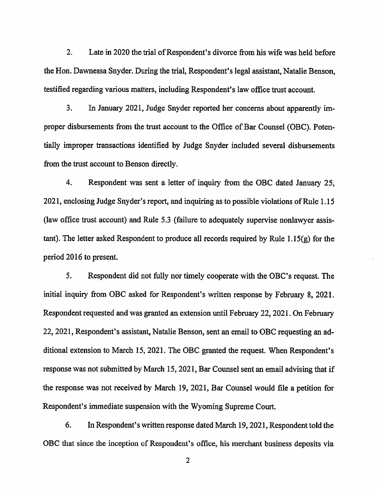$2.$ Late in 2020 the trial of Respondent's divorce from his wife was held before the Hon. Dawnessa Snyder. During the trial, Respondent's legal assistant, Natalie Benson, testified regarding various matters, including Respondent's law office trust account.

 $3.$ In January 2021, Judge Snyder reported her concerns about apparently improper disbursements from the trust account to the Office of Bar Counsel (OBC). Potentially improper transactions identified by Judge Snyder included several disbursements from the trust account to Benson directly.

4. Respondent was sent a letter of inquiry from the OBC dated January 25, 2021, enclosing Judge Snyder's report, and inquiring as to possible violations of Rule 1.15 (law office trust account) and Rule 5.3 (failure to adequately supervise nonlawyer assis $t$  tant). The letter asked Respondent to produce all records required by Rule 1.15 $(g)$  for the period 2016 to present.

5. Respondent did not fully nor timely cooperate with the OBC's request. The initial inquiry from OBC asked for Respondent's written response by February 8, 2021. Respondent requested and was granted an extension until February 22, 2021. On February 22, 2021, Respondent's assistant, Natalie Benson, sent an email to OBC requesting an additional extension to March 15, 2021. The OBC granted the request. When Respondent's response was not submitted by March 15, 2021, Bar Counsel sent an email advising that if the response was not received by March 19, 2021, Bar Counsel would file a petition for Respondent's immediate suspension with the Wyoming Supreme Court.

6. In Respondent's written response dated March 19, 2021, Respondent told the OBC that since the inception of Respondent's office, his merchant business deposits via

 $\overline{2}$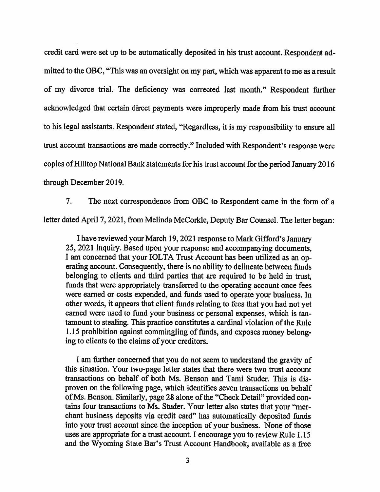credit card were set up to be automatically deposited in his trust account. Respondent admitted to the OBC, "This was an oversight on my part, which was apparent to me as a result of my divorce trial. The deficiency was corrected last month." Respondent further acknowledged that certain direct payments were improperly made from his trust account to his legal assistants. Respondent stated, "Regardless, it is my responsibility to ensure all trust account transactions are made correctly." Included with Respondent's response were copies of Hilltop National Bank statements for his trust account for the period January 2016 through December 2019.

The next correspondence from OBC to Respondent came in the form of a 7. letter dated April 7, 2021, from Melinda McCorkle, Deputy Bar Counsel. The letter began:

I have reviewed your March 19, 2021 response to Mark Gifford's January 25, 2021 inquiry. Based upon your response and accompanying documents, I am concerned that your IOLTA Trust Account has been utilized as an operating account. Consequently, there is no ability to delineate between funds belonging to clients and third parties that are required to be held in trust, funds that were appropriately transferred to the operating account once fees were earned or costs expended, and funds used to operate your business. In other words, it appears that client funds relating to fees that you had not yet earned were used to fund your business or personal expenses, which is tantamount to stealing. This practice constitutes a cardinal violation of the Rule 1.15 prohibition against commingling of funds, and exposes money belonging to clients to the claims of your creditors.

I am further concerned that you do not seem to understand the gravity of this situation. Your two-page letter states that there were two trust account transactions on behalf of both Ms. Benson and Tami Studer. This is disproven on the following page, which identifies seven transactions on behalf of Ms. Benson. Similarly, page 28 alone of the "Check Detail" provided contains four transactions to Ms. Studer. Your letter also states that your "merchant business deposits via credit card" has automatically deposited funds into your trust account since the inception of your business. None of those uses are appropriate for a trust account. I encourage you to review Rule 1.15 and the Wyoming State Bar's Trust Account Handbook, available as a free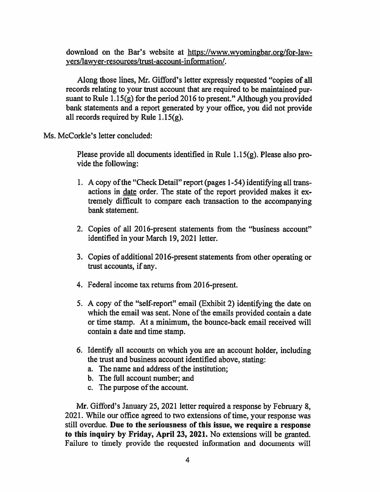download on the Bar's website at https://www.wyomingbar.org/for-lawyers/lawyer-resources/trust-account-information/.

Along those lines, Mr. Gifford's letter expressly requested "copies of all records relating to your trust account that are required to be maintained pursuant to Rule  $1.15(g)$  for the period 2016 to present." Although you provided bank statements and a report generated by your office, you did not provide all records required by Rule  $1.15(g)$ .

Ms. McCorkle's letter concluded:

Please provide all documents identified in Rule  $1.15(g)$ . Please also provide the following:

- 1. A copy of the "Check Detail" report (pages 1-54) identifying all transactions in date order. The state of the report provided makes it extremely difficult to compare each transaction to the accompanying bank statement.
- 2. Copies of all 2016-present statements from the "business account" identified in your March 19, 2021 letter.
- 3. Copies of additional 2016-present statements from other operating or trust accounts, if any.
- 4. Federal income tax returns from 2016-present.
- 5. A copy of the "self-report" email (Exhibit 2) identifying the date on which the email was sent. None of the emails provided contain a date or time stamp. At a minimum, the bounce-back email received will contain a date and time stamp.
- 6. Identify all accounts on which you are an account holder, including the trust and business account identified above, stating:
	- a. The name and address of the institution;
	- b. The full account number; and
	- c. The purpose of the account.

Mr. Gifford's January 25, 2021 letter required a response by February 8, 2021. While our office agreed to two extensions of time, your response was still overdue. Due to the seriousness of this issue, we require a response to this inquiry by Friday, April 23, 2021. No extensions will be granted. Failure to timely provide the requested information and documents will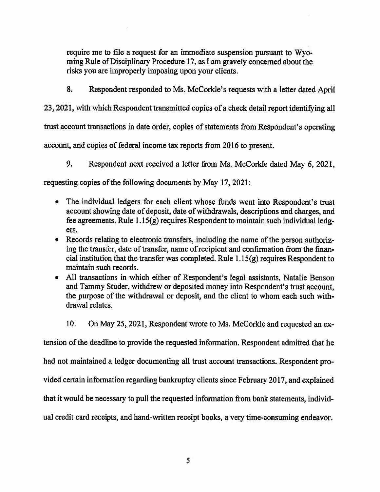require me to file a request for an immediate suspension pursuant to Wyoming Rule of Disciplinary Procedure 17, as I am gravely concerned about the risks you are improperly imposing upon your clients.

8. Respondent responded to Ms. McCorkle's requests with a letter dated April

23, 2021, with which Respondent transmitted copies of a check detail report identifying all

trust account transactions in date order, copies of statements from Respondent's operating

account, and copies of federal income tax reports from 2016 to present.

9. Respondent next received a letter from Ms. McCorkle dated May 6, 2021,

requesting copies of the following documents by May 17, 2021:

- The individual ledgers for each client whose funds went into Respondent's trust  $\bullet$ account showing date of deposit, date of withdrawals, descriptions and charges, and fee agreements. Rule 1.15(g) requires Respondent to maintain such individual ledgers.
- Records relating to electronic transfers, including the name of the person authorizing the transfer, date of transfer, name of recipient and confirmation from the financial institution that the transfer was completed. Rule  $1.15(g)$  requires Respondent to maintain such records.
- All transactions in which either of Respondent's legal assistants, Natalie Benson and Tammy Studer, withdrew or deposited money into Respondent's trust account, the purpose of the withdrawal or deposit, and the client to whom each such withdrawal relates.

 $10.$ On May 25, 2021, Respondent wrote to Ms. McCorkle and requested an ex-

tension of the deadline to provide the requested information. Respondent admitted that he

had not maintained a ledger documenting all trust account transactions. Respondent pro-

vided certain information regarding bankruptcy clients since February 2017, and explained

that it would be necessary to pull the requested information from bank statements, individ-

ual credit card receipts, and hand-written receipt books, a very time-consuming endeavor.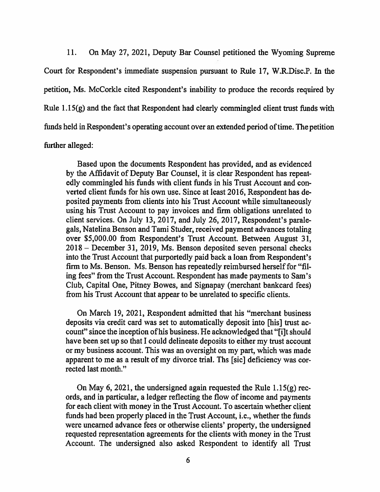11. On May 27, 2021, Deputy Bar Counsel petitioned the Wyoming Supreme Court for Respondent's immediate suspension pursuant to Rule 17, W.R.Disc.P. In the petition, Ms. McCorkle cited Respondent's inability to produce the records required by Rule  $1.15(g)$  and the fact that Respondent had clearly commingled client trust funds with funds held in Respondent's operating account over an extended period of time. The petition further alleged:

Based upon the documents Respondent has provided, and as evidenced by the Affidavit of Deputy Bar Counsel, it is clear Respondent has repeatedly commingled his funds with client funds in his Trust Account and converted client funds for his own use. Since at least 2016, Respondent has deposited payments from clients into his Trust Account while simultaneously using his Trust Account to pay invoices and firm obligations unrelated to client services. On July 13, 2017, and July 26, 2017, Respondent's paralegals, Natelina Benson and Tami Studer, received payment advances totaling over \$5,000.00 from Respondent's Trust Account. Between August 31, 2018 – December 31, 2019, Ms. Benson deposited seven personal checks into the Trust Account that purportedly paid back a loan from Respondent's firm to Ms. Benson. Ms. Benson has repeatedly reimbursed herself for "filing fees" from the Trust Account. Respondent has made payments to Sam's Club, Capital One, Pitney Bowes, and Signapay (merchant bankcard fees) from his Trust Account that appear to be unrelated to specific clients.

On March 19, 2021, Respondent admitted that his "merchant business" deposits via credit card was set to automatically deposit into [his] trust account" since the inception of his business. He acknowledged that "filt should" have been set up so that I could delineate deposits to either my trust account or my business account. This was an oversight on my part, which was made apparent to me as a result of my divorce trial. The [sic] deficiency was corrected last month."

On May 6, 2021, the undersigned again requested the Rule  $1.15(g)$  records, and in particular, a ledger reflecting the flow of income and payments for each client with money in the Trust Account. To ascertain whether client funds had been properly placed in the Trust Account, *i.e.*, whether the funds were unearned advance fees or otherwise clients' property, the undersigned requested representation agreements for the clients with money in the Trust Account. The undersigned also asked Respondent to identify all Trust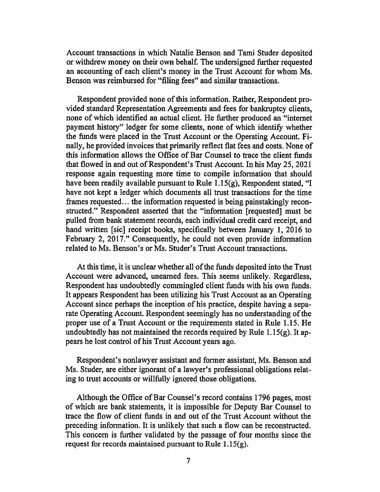Account transactions in which Natalie Benson and Tami Studer deposited or withdrew money on their own behalf. The undersigned further requested an accounting of each client's money in the Trust Account for whom Ms. Benson was reimbursed for "filing fees" and similar transactions.

Respondent provided none of this information. Rather, Respondent provided standard Representation Agreements and fees for bankruptcy clients, none of which identified an actual client. He further produced an "internet" payment history" ledger for some clients, none of which identify whether the funds were placed in the Trust Account or the Operating Account. Finally, he provided invoices that primarily reflect flat fees and costs. None of this information allows the Office of Bar Counsel to trace the client funds that flowed in and out of Respondent's Trust Account. In his May 25, 2021 response again requesting more time to compile information that should have been readily available pursuant to Rule 1.15 $(g)$ , Respondent stated, "I have not kept a ledger which documents all trust transactions for the time frames requested... the information requested is being painstakingly reconstructed." Respondent asserted that the "information [requested] must be pulled from bank statement records, each individual credit card receipt, and hand written [sic] receipt books, specifically between January 1, 2016 to February 2, 2017." Consequently, he could not even provide information related to Ms. Benson's or Ms. Studer's Trust Account transactions.

At this time, it is unclear whether all of the funds deposited into the Trust Account were advanced, unearned fees. This seems unlikely. Regardless, Respondent has undoubtedly commingled client funds with his own funds. It appears Respondent has been utilizing his Trust Account as an Operating Account since perhaps the inception of his practice, despite having a separate Operating Account. Respondent seemingly has no understanding of the proper use of a Trust Account or the requirements stated in Rule 1.15. He undoubtedly has not maintained the records required by Rule 1.15(g). It appears he lost control of his Trust Account years ago.

Respondent's nonlawyer assistant and former assistant, Ms. Benson and Ms. Studer, are either ignorant of a lawyer's professional obligations relating to trust accounts or willfully ignored those obligations.

Although the Office of Bar Counsel's record contains 1796 pages, most of which are bank statements, it is impossible for Deputy Bar Counsel to trace the flow of client funds in and out of the Trust Account without the preceding information. It is unlikely that such a flow can be reconstructed. This concern is further validated by the passage of four months since the request for records maintained pursuant to Rule  $1.15(g)$ .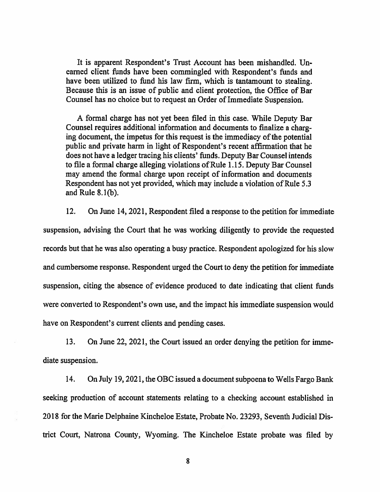It is apparent Respondent's Trust Account has been mishandled. Unearned client funds have been commingled with Respondent's funds and have been utilized to fund his law firm, which is tantamount to stealing. Because this is an issue of public and client protection, the Office of Bar Counsel has no choice but to request an Order of Immediate Suspension.

A formal charge has not yet been filed in this case. While Deputy Bar Counsel requires additional information and documents to finalize a charging document, the impetus for this request is the immediacy of the potential public and private harm in light of Respondent's recent affirmation that he does not have a ledger tracing his clients' funds. Deputy Bar Counsel intends to file a formal charge alleging violations of Rule 1.15. Deputy Bar Counsel may amend the formal charge upon receipt of information and documents Respondent has not yet provided, which may include a violation of Rule 5.3 and Rule  $8.1(b)$ .

On June 14, 2021, Respondent filed a response to the petition for immediate 12. suspension, advising the Court that he was working diligently to provide the requested records but that he was also operating a busy practice. Respondent apologized for his slow and cumbersome response. Respondent urged the Court to deny the petition for immediate suspension, citing the absence of evidence produced to date indicating that client funds were converted to Respondent's own use, and the impact his immediate suspension would have on Respondent's current clients and pending cases.

13. On June 22, 2021, the Court issued an order denying the petition for immediate suspension.

14. On July 19, 2021, the OBC issued a document subpoena to Wells Fargo Bank seeking production of account statements relating to a checking account established in 2018 for the Marie Delphaine Kincheloe Estate, Probate No. 23293, Seventh Judicial District Court, Natrona County, Wyoming. The Kincheloe Estate probate was filed by

8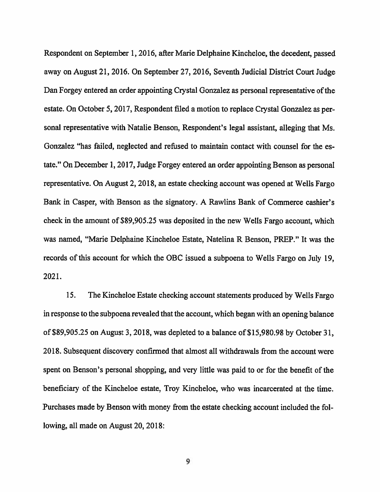Respondent on September 1, 2016, after Marie Delphaine Kincheloe, the decedent, passed away on August 21, 2016. On September 27, 2016, Seventh Judicial District Court Judge Dan Forgey entered an order appointing Crystal Gonzalez as personal representative of the estate. On October 5, 2017, Respondent filed a motion to replace Crystal Gonzalez as personal representative with Natalie Benson, Respondent's legal assistant, alleging that Ms. Gonzalez "has failed, neglected and refused to maintain contact with counsel for the estate." On December 1, 2017, Judge Forgey entered an order appointing Benson as personal representative. On August 2, 2018, an estate checking account was opened at Wells Fargo Bank in Casper, with Benson as the signatory. A Rawlins Bank of Commerce cashier's check in the amount of \$89,905.25 was deposited in the new Wells Fargo account, which was named, "Marie Delphaine Kincheloe Estate, Natelina R Benson, PREP." It was the records of this account for which the OBC issued a subpoena to Wells Fargo on July 19, 2021.

 $15.$ The Kincheloe Estate checking account statements produced by Wells Fargo in response to the subpoena revealed that the account, which began with an opening balance of \$89,905.25 on August 3, 2018, was depleted to a balance of \$15,980.98 by October 31, 2018. Subsequent discovery confirmed that almost all withdrawals from the account were spent on Benson's personal shopping, and very little was paid to or for the benefit of the beneficiary of the Kincheloe estate, Troy Kincheloe, who was incarcerated at the time. Purchases made by Benson with money from the estate checking account included the following, all made on August 20, 2018:

9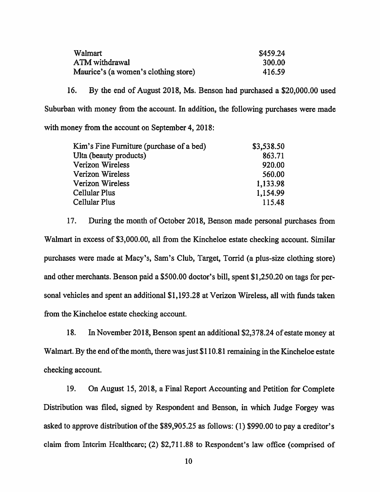| Walmart                              | \$459.24 |
|--------------------------------------|----------|
| ATM withdrawal                       | 300.00   |
| Maurice's (a women's clothing store) | 416.59   |

16. By the end of August 2018, Ms. Benson had purchased a \$20,000.00 used Suburban with money from the account. In addition, the following purchases were made with money from the account on September 4, 2018:

| Kim's Fine Furniture (purchase of a bed) | \$3,538.50 |
|------------------------------------------|------------|
| Ulta (beauty products)                   | 863.71     |
| Verizon Wireless                         | 920.00     |
| Verizon Wireless                         | 560.00     |
| Verizon Wireless                         | 1,133.98   |
| Cellular Plus                            | 1,154.99   |
| Cellular Plus                            | 115.48     |
|                                          |            |

17. During the month of October 2018, Benson made personal purchases from Walmart in excess of \$3,000.00, all from the Kincheloe estate checking account. Similar purchases were made at Macy's, Sam's Club, Target, Torrid (a plus-size clothing store) and other merchants. Benson paid a \$500.00 doctor's bill, spent \$1,250.20 on tags for personal vehicles and spent an additional \$1,193.28 at Verizon Wireless, all with funds taken from the Kincheloe estate checking account.

18. In November 2018, Benson spent an additional \$2,378.24 of estate money at Walmart. By the end of the month, there was just \$110.81 remaining in the Kincheloe estate checking account.

19. On August 15, 2018, a Final Report Accounting and Petition for Complete Distribution was filed, signed by Respondent and Benson, in which Judge Forgey was asked to approve distribution of the \$89,905.25 as follows: (1) \$990.00 to pay a creditor's claim from Interim Healthcare; (2) \$2,711.88 to Respondent's law office (comprised of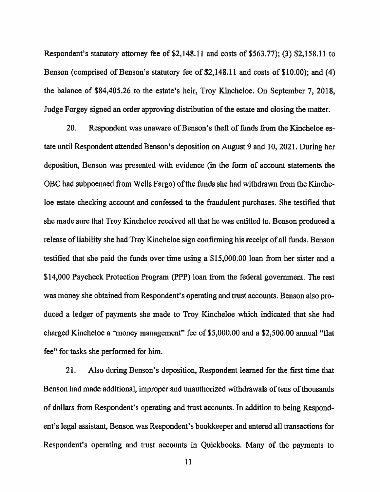Respondent's statutory attorney fee of \$2,148.11 and costs of \$563.77); (3) \$2,158.11 to Benson (comprised of Benson's statutory fee of \$2,148.11 and costs of \$10.00); and (4) the balance of \$84,405.26 to the estate's heir, Troy Kincheloe. On September 7, 2018, Judge Forgey signed an order approving distribution of the estate and closing the matter.

 $20<sub>1</sub>$ Respondent was unaware of Benson's theft of funds from the Kincheloe estate until Respondent attended Benson's deposition on August 9 and 10, 2021. During her deposition, Benson was presented with evidence (in the form of account statements the OBC had subpoenaed from Wells Fargo) of the funds she had withdrawn from the Kincheloe estate checking account and confessed to the fraudulent purchases. She testified that she made sure that Troy Kincheloe received all that he was entitled to. Benson produced a release of liability she had Troy Kincheloe sign confirming his receipt of all funds. Benson testified that she paid the funds over time using a \$15,000.00 loan from her sister and a \$14,000 Paycheck Protection Program (PPP) loan from the federal government. The rest was money she obtained from Respondent's operating and trust accounts. Benson also produced a ledger of payments she made to Troy Kincheloe which indicated that she had charged Kincheloe a "money management" fee of \$5,000.00 and a \$2,500.00 annual "flat fee" for tasks she performed for him.

21. Also during Benson's deposition, Respondent learned for the first time that Benson had made additional, improper and unauthorized withdrawals of tens of thousands of dollars from Respondent's operating and trust accounts. In addition to being Respondent's legal assistant, Benson was Respondent's bookkeeper and entered all transactions for Respondent's operating and trust accounts in Quickbooks. Many of the payments to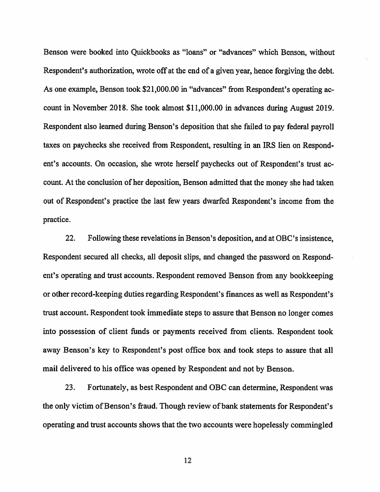Benson were booked into Quickbooks as "loans" or "advances" which Benson, without Respondent's authorization, wrote off at the end of a given year, hence forgiving the debt. As one example, Benson took \$21,000.00 in "advances" from Respondent's operating account in November 2018. She took almost \$11,000.00 in advances during August 2019. Respondent also learned during Benson's deposition that she failed to pay federal payroll taxes on paychecks she received from Respondent, resulting in an IRS lien on Respondent's accounts. On occasion, she wrote herself paychecks out of Respondent's trust account. At the conclusion of her deposition, Benson admitted that the money she had taken out of Respondent's practice the last few years dwarfed Respondent's income from the practice.

22. Following these revelations in Benson's deposition, and at OBC's insistence, Respondent secured all checks, all deposit slips, and changed the password on Respondent's operating and trust accounts. Respondent removed Benson from any bookkeeping or other record-keeping duties regarding Respondent's finances as well as Respondent's trust account. Respondent took immediate steps to assure that Benson no longer comes into possession of client funds or payments received from clients. Respondent took away Benson's key to Respondent's post office box and took steps to assure that all mail delivered to his office was opened by Respondent and not by Benson.

23. Fortunately, as best Respondent and OBC can determine, Respondent was the only victim of Benson's fraud. Though review of bank statements for Respondent's operating and trust accounts shows that the two accounts were hopelessly commingled

12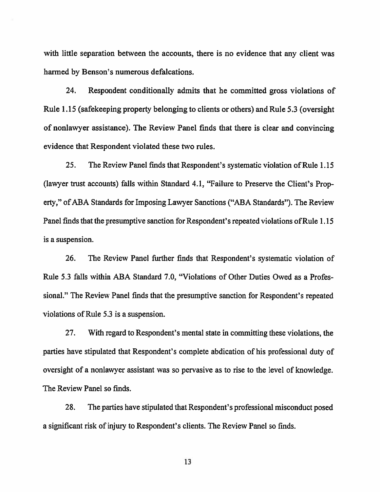with little separation between the accounts, there is no evidence that any client was harmed by Benson's numerous defalcations.

24. Respondent conditionally admits that he committed gross violations of Rule 1.15 (safekeeping property belonging to clients or others) and Rule 5.3 (oversight of nonlawyer assistance). The Review Panel finds that there is clear and convincing evidence that Respondent violated these two rules.

25. The Review Panel finds that Respondent's systematic violation of Rule 1.15 (lawyer trust accounts) falls within Standard 4.1, "Failure to Preserve the Client's Property," of ABA Standards for Imposing Lawyer Sanctions ("ABA Standards"). The Review Panel finds that the presumptive sanction for Respondent's repeated violations of Rule 1.15 is a suspension.

26. The Review Panel further finds that Respondent's systematic violation of Rule 5.3 falls within ABA Standard 7.0, "Violations of Other Duties Owed as a Professional." The Review Panel finds that the presumptive sanction for Respondent's repeated violations of Rule 5.3 is a suspension.

27. With regard to Respondent's mental state in committing these violations, the parties have stipulated that Respondent's complete abdication of his professional duty of oversight of a nonlawyer assistant was so pervasive as to rise to the level of knowledge. The Review Panel so finds.

28. The parties have stipulated that Respondent's professional misconduct posed a significant risk of injury to Respondent's clients. The Review Panel so finds.

13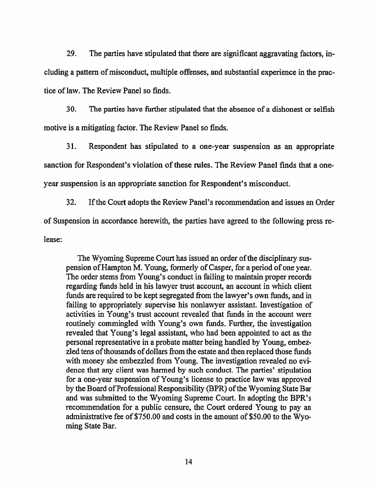29. The parties have stipulated that there are significant aggravating factors, including a pattern of misconduct, multiple offenses, and substantial experience in the practice of law. The Review Panel so finds.

30. The parties have further stipulated that the absence of a dishonest or selfish motive is a mitigating factor. The Review Panel so finds.

31. Respondent has stipulated to a one-year suspension as an appropriate sanction for Respondent's violation of these rules. The Review Panel finds that a oneyear suspension is an appropriate sanction for Respondent's misconduct.

32. If the Court adopts the Review Panel's recommendation and issues an Order of Suspension in accordance herewith, the parties have agreed to the following press release:

The Wyoming Supreme Court has issued an order of the disciplinary suspension of Hampton M. Young, formerly of Casper, for a period of one year. The order stems from Young's conduct in failing to maintain proper records regarding funds held in his lawyer trust account, an account in which client funds are required to be kept segregated from the lawyer's own funds, and in failing to appropriately supervise his nonlawyer assistant. Investigation of activities in Young's trust account revealed that funds in the account were routinely commingled with Young's own funds. Further, the investigation revealed that Young's legal assistant, who had been appointed to act as the personal representative in a probate matter being handled by Young, embezzied tens of thousands of dollars from the estate and then replaced those funds with money she embezzled from Young. The investigation revealed no evidence that any client was harmed by such conduct. The parties' stipulation for a one-year suspension of Young's license to practice law was approved by the Board of Professional Responsibility (BPR) of the Wyoming State Bar and was submitted to the Wyoming Supreme Court. In adopting the BPR's recommendation for a public censure, the Court ordered Young to pay an administrative fee of \$750.00 and costs in the amount of \$50.00 to the Wyoming State Bar.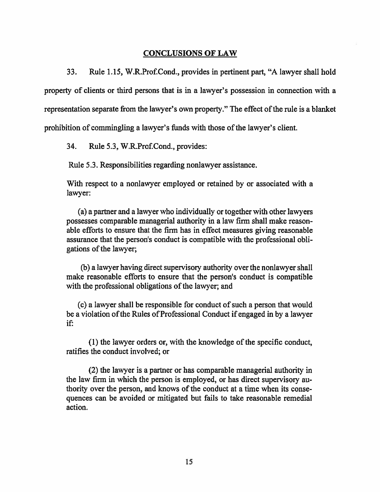#### **CONCLUSIONS OF LAW**

33. Rule 1.15, W.R.Prof.Cond., provides in pertinent part, "A lawyer shall hold property of clients or third persons that is in a lawyer's possession in connection with a representation separate from the lawyer's own property." The effect of the rule is a blanket prohibition of commingling a lawyer's funds with those of the lawyer's client.

34. Rule 5.3, W.R.Prof.Cond., provides:

Rule 5.3. Responsibilities regarding nonlawyer assistance.

With respect to a nonlawyer employed or retained by or associated with a lawyer:

(a) a partner and a lawyer who individually or together with other lawyers possesses comparable managerial authority in a law firm shall make reasonable efforts to ensure that the firm has in effect measures giving reasonable assurance that the person's conduct is compatible with the professional obligations of the lawyer;

(b) a lawyer having direct supervisory authority over the nonlawyer shall make reasonable efforts to ensure that the person's conduct is compatible with the professional obligations of the lawyer; and

(c) a lawyer shall be responsible for conduct of such a person that would be a violation of the Rules of Professional Conduct if engaged in by a lawyer if:

(1) the lawyer orders or, with the knowledge of the specific conduct, ratifies the conduct involved; or

(2) the lawyer is a partner or has comparable managerial authority in the law firm in which the person is employed, or has direct supervisory authority over the person, and knows of the conduct at a time when its consequences can be avoided or mitigated but fails to take reasonable remedial action.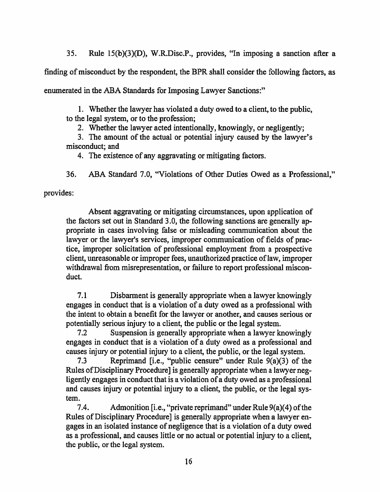35. Rule 15(b)(3)(D), W.R.Disc.P., provides, "In imposing a sanction after a

finding of misconduct by the respondent, the BPR shall consider the following factors, as

enumerated in the ABA Standards for Imposing Lawyer Sanctions."

1. Whether the lawyer has violated a duty owed to a client, to the public, to the legal system, or to the profession;

2. Whether the lawyer acted intentionally, knowingly, or negligently;

3. The amount of the actual or potential injury caused by the lawyer's misconduct; and

4. The existence of any aggravating or mitigating factors.

36. ABA Standard 7.0, "Violations of Other Duties Owed as a Professional,"

provides:

Absent aggravating or mitigating circumstances, upon application of the factors set out in Standard 3.0, the following sanctions are generally appropriate in cases involving false or misleading communication about the lawyer or the lawyer's services, improper communication of fields of practice, improper solicitation of professional employment from a prospective client, unreasonable or improper fees, unauthorized practice of law, improper withdrawal from misrepresentation, or failure to report professional misconduct.

 $7.1$ Disbarment is generally appropriate when a lawyer knowingly engages in conduct that is a violation of a duty owed as a professional with the intent to obtain a benefit for the lawyer or another, and causes serious or potentially serious injury to a client, the public or the legal system.

Suspension is generally appropriate when a lawyer knowingly  $7.2$ engages in conduct that is a violation of a duty owed as a professional and causes injury or potential injury to a client, the public, or the legal system.

Reprimand [i.e., "public censure" under Rule  $9(a)(3)$  of the  $7.3$ Rules of Disciplinary Procedure] is generally appropriate when a lawyer negligently engages in conduct that is a violation of a duty owed as a professional and causes injury or potential injury to a client, the public, or the legal system.

Admonition [i.e., "private reprimand" under Rule  $9(a)(4)$  of the 7.4. Rules of Disciplinary Procedure] is generally appropriate when a lawyer engages in an isolated instance of negligence that is a violation of a duty owed as a professional, and causes little or no actual or potential injury to a client, the public, or the legal system.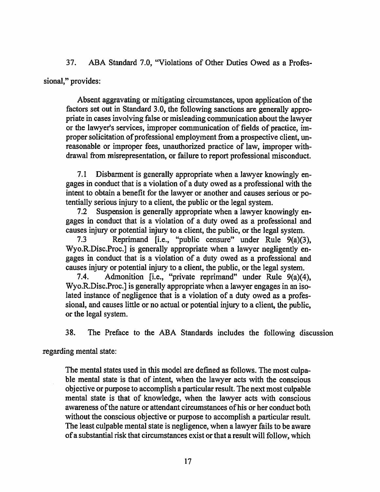ABA Standard 7.0, "Violations of Other Duties Owed as a Profes-37.

sional," provides:

Absent aggravating or mitigating circumstances, upon application of the factors set out in Standard 3.0, the following sanctions are generally appropriate in cases involving false or misleading communication about the lawyer or the lawyer's services, improper communication of fields of practice, improper solicitation of professional employment from a prospective client, unreasonable or improper fees, unauthorized practice of law, improper withdrawal from misrepresentation, or failure to report professional misconduct.

 $7.1$ Disbarment is generally appropriate when a lawyer knowingly engages in conduct that is a violation of a duty owed as a professional with the intent to obtain a benefit for the lawyer or another and causes serious or potentially serious injury to a client, the public or the legal system.

 $7.2$ Suspension is generally appropriate when a lawyer knowingly engages in conduct that is a violation of a duty owed as a professional and causes injury or potential injury to a client, the public, or the legal system.

Reprimand [i.e., "public censure" under Rule 9(a)(3),  $7.3$ Wyo.R.Disc.Proc.] is generally appropriate when a lawyer negligently engages in conduct that is a violation of a duty owed as a professional and causes injury or potential injury to a client, the public, or the legal system.

Admonition [i.e., "private reprimand" under Rule 9(a)(4),  $7.4.$ Wyo.R.Disc.Proc.] is generally appropriate when a lawyer engages in an isolated instance of negligence that is a violation of a duty owed as a professional, and causes little or no actual or potential injury to a client, the public, or the legal system.

38. The Preface to the ABA Standards includes the following discussion

regarding mental state:

The mental states used in this model are defined as follows. The most culpable mental state is that of intent, when the lawyer acts with the conscious objective or purpose to accomplish a particular result. The next most culpable mental state is that of knowledge, when the lawyer acts with conscious awareness of the nature or attendant circumstances of his or her conduct both without the conscious objective or purpose to accomplish a particular result. The least culpable mental state is negligence, when a lawyer fails to be aware of a substantial risk that circumstances exist or that a result will follow, which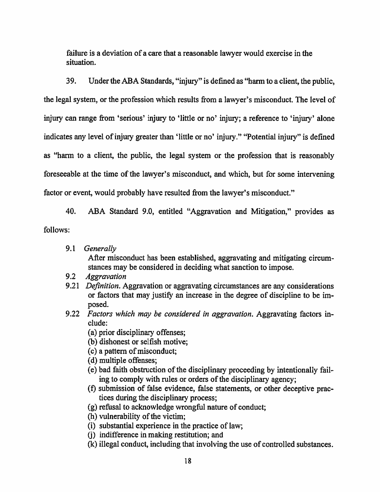failure is a deviation of a care that a reasonable lawyer would exercise in the situation.

39. Under the ABA Standards, "injury" is defined as "harm to a client, the public, the legal system, or the profession which results from a lawyer's misconduct. The level of injury can range from 'serious' injury to 'little or no' injury; a reference to 'injury' alone indicates any level of injury greater than 'little or no' injury." "Potential injury" is defined as "harm to a client, the public, the legal system or the profession that is reasonably foreseeable at the time of the lawyer's misconduct, and which, but for some intervening factor or event, would probably have resulted from the lawyer's misconduct."

ABA Standard 9.0, entitled "Aggravation and Mitigation," provides as 40.

follows:

9.1 Generally

After misconduct has been established, aggravating and mitigating circumstances may be considered in deciding what sanction to impose.

- $9.2$ **Aggravation**
- 9.21 Definition. Aggravation or aggravating circumstances are any considerations or factors that may justify an increase in the degree of discipline to be imposed.
- 9.22 Factors which may be considered in aggravation. Aggravating factors include:
	- (a) prior disciplinary offenses;
	- (b) dishonest or selfish motive;
	- (c) a pattern of misconduct;
	- (d) multiple offenses;
	- (e) bad faith obstruction of the disciplinary proceeding by intentionally failing to comply with rules or orders of the disciplinary agency;
	- (f) submission of false evidence, false statements, or other deceptive practices during the disciplinary process;
	- (g) refusal to acknowledge wrongful nature of conduct;
	- (h) vulnerability of the victim;
	- (i) substantial experience in the practice of law;
	- (i) indifference in making restitution; and
	- (k) illegal conduct, including that involving the use of controlled substances.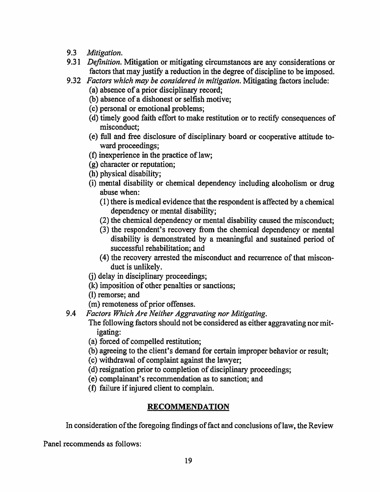- $9.3$ Mitigation.
- 9.31 Definition. Mitigation or mitigating circumstances are any considerations or factors that may justify a reduction in the degree of discipline to be imposed.
- 9.32 Factors which may be considered in mitigation. Mitigating factors include:
	- (a) absence of a prior disciplinary record:
	- (b) absence of a dishonest or selfish motive;
	- (c) personal or emotional problems;
	- (d) timely good faith effort to make restitution or to rectify consequences of misconduct:
	- (e) full and free disclosure of disciplinary board or cooperative attitude toward proceedings;
	- (f) in experience in the practice of law:
	- (g) character or reputation:
	- (h) physical disability;
	- (i) mental disability or chemical dependency including alcoholism or drug abuse when:
		- (1) there is medical evidence that the respondent is affected by a chemical dependency or mental disability;
		- (2) the chemical dependency or mental disability caused the misconduct;
		- (3) the respondent's recovery from the chemical dependency or mental disability is demonstrated by a meaningful and sustained period of successful rehabilitation; and
		- (4) the recovery arrested the misconduct and recurrence of that misconduct is unlikely.
	- (i) delay in disciplinary proceedings;
	- (k) imposition of other penalties or sanctions;
	- (I) remorse; and
	- (m) remoteness of prior offenses.
- 9.4 Factors Which Are Neither Aggravating nor Mitigating.
	- The following factors should not be considered as either aggravating nor mit*igating:*
	- (a) forced of compelled restitution;
	- (b) agreeing to the client's demand for certain improper behavior or result;
	- (c) withdrawal of complaint against the lawyer;
	- (d) resignation prior to completion of disciplinary proceedings;
	- (e) complainant's recommendation as to sanction; and
	- (f) failure if injured client to complain.

### **RECOMMENDATION**

In consideration of the foregoing findings of fact and conclusions of law, the Review

Panel recommends as follows: